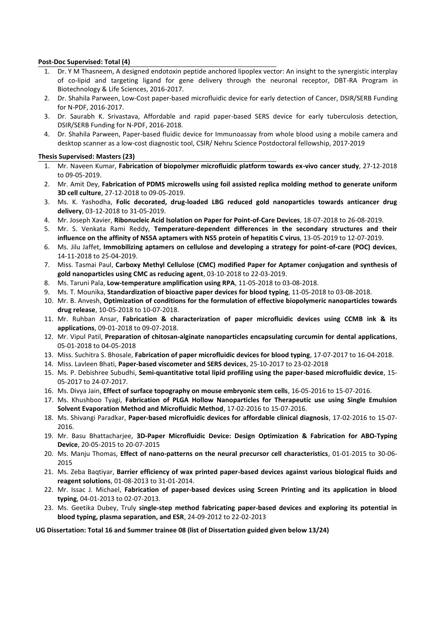## **Post-Doc Supervised: Total (4)**

- 1. Dr. Y M Thasneem, A designed endotoxin peptide anchored lipoplex vector: An insight to the synergistic interplay of co-lipid and targeting ligand for gene delivery through the neuronal receptor, DBT-RA Program in Biotechnology & Life Sciences, 2016-2017.
- 2. Dr. Shahila Parween, Low-Cost paper-based microfluidic device for early detection of Cancer, DSIR/SERB Funding for N-PDF, 2016-2017.
- 3. Dr. Saurabh K. Srivastava, Affordable and rapid paper-based SERS device for early tuberculosis detection, DSIR/SERB Funding for N-PDF, 2016-2018.
- 4. Dr. Shahila Parween, Paper-based fluidic device for Immunoassay from whole blood using a mobile camera and desktop scanner as a low-cost diagnostic tool, CSIR/ Nehru Science Postdoctoral fellowship, 2017-2019

## **Thesis Supervised: Masters (23)**

- 1. Mr. Naveen Kumar, **Fabrication of biopolymer microfluidic platform towards ex-vivo cancer study**, 27-12-2018 to 09-05-2019.
- 2. Mr. Amit Dey, **Fabrication of PDMS microwells using foil assisted replica molding method to generate uniform 3D cell culture**, 27-12-2018 to 09-05-2019.
- 3. Ms. K. Yashodha, **Folic decorated, drug-loaded LBG reduced gold nanoparticles towards anticancer drug delivery**, 03-12-2018 to 31-05-2019.
- 4. Mr. Joseph Xavier, **Ribonucleic Acid Isolation on Paper for Point-of-Care Devices**, 18-07-2018 to 26-08-2019.
- 5. Mr. S. Venkata Rami Reddy, **Temperature-dependent differences in the secondary structures and their influence on the affinity of NS5A aptamers with NS5 protein of hepatitis C virus**, 13-05-2019 to 12-07-2019.
- 6. Ms. Jilu Jaffet, **Immobilizing aptamers on cellulose and developing a strategy for point-of-care (POC) devices**, 14-11-2018 to 25-04-2019.
- 7. Miss. Tasmai Paul, **Carboxy Methyl Cellulose (CMC) modified Paper for Aptamer conjugation and synthesis of gold nanoparticles using CMC as reducing agent**, 03-10-2018 to 22-03-2019.
- 8. Ms. Taruni Pala, **Low-temperature amplification using RPA**, 11-05-2018 to 03-08-2018.
- 9. Ms. T. Mounika, **Standardization of bioactive paper devices for blood typing**, 11-05-2018 to 03-08-2018.
- 10. Mr. B. Anvesh, **Optimization of conditions for the formulation of effective biopolymeric nanoparticles towards drug release**, 10-05-2018 to 10-07-2018.
- 11. Mr. Ruhban Ansar, **Fabrication & characterization of paper microfluidic devices using CCMB ink & its applications**, 09-01-2018 to 09-07-2018.
- 12. Mr. Vipul Patil, **Preparation of chitosan-alginate nanoparticles encapsulating curcumin for dental applications**, 05-01-2018 to 04-05-2018
- 13. Miss. Suchitra S. Bhosale, **Fabrication of paper microfluidic devices for blood typing**, 17-07-2017 to 16-04-2018.
- 14. Miss. Lavleen Bhati, **Paper-based viscometer and SERS devices**, 25-10-2017 to 23-02-2018
- 15. Ms. P. Debishree Subudhi, **Semi-quantitative total lipid profiling using the paper-based microfluidic device**, 15- 05-2017 to 24-07-2017.
- 16. Ms. Divya Jain, **Effect of surface topography on mouse embryonic stem cells**, 16-05-2016 to 15-07-2016.
- 17. Ms. Khushboo Tyagi, **Fabrication of PLGA Hollow Nanoparticles for Therapeutic use using Single Emulsion Solvent Evaporation Method and Microfluidic Method**, 17-02-2016 to 15-07-2016.
- 18. Ms. Shivangi Paradkar, **Paper-based microfluidic devices for affordable clinical diagnosis**, 17-02-2016 to 15-07- 2016.
- 19. Mr. Basu Bhattacharjee, **3D-Paper Microfluidic Device: Design Optimization & Fabrication for ABO-Typing Device**, 20-05-2015 to 20-07-2015
- 20. Ms. Manju Thomas, **Effect of nano-patterns on the neural precursor cell characteristics**, 01-01-2015 to 30-06- 2015
- 21. Ms. Zeba Baqtiyar, **Barrier efficiency of wax printed paper-based devices against various biological fluids and reagent solutions**, 01-08-2013 to 31-01-2014.
- 22. Mr. Issac J. Michael, **Fabrication of paper-based devices using Screen Printing and its application in blood typing**, 04-01-2013 to 02-07-2013.
- 23. Ms. Geetika Dubey, Truly **single-step method fabricating paper-based devices and exploring its potential in blood typing, plasma separation, and ESR**, 24-09-2012 to 22-02-2013

**UG Dissertation: Total 16 and Summer trainee 08 (list of Dissertation guided given below 13/24)**